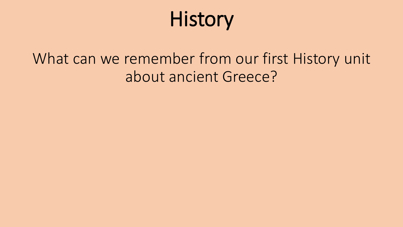# History

### What can we remember from our first History unit about ancient Greece?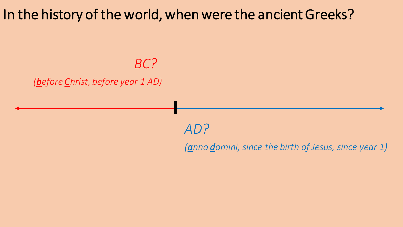In the history of the world, when were the ancient Greeks?

*BC?* 

#### *(before Christ, before year 1 AD)*

*AD?* 

*(anno domini, since the birth of Jesus, since year 1)*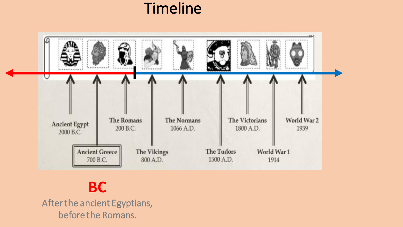### Timeline



**BC**

After the ancient Egyptians, before the Romans.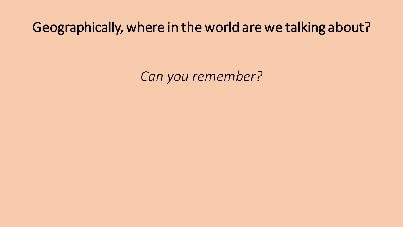#### Geographically, where in the world are we talking about?

*Can you remember?*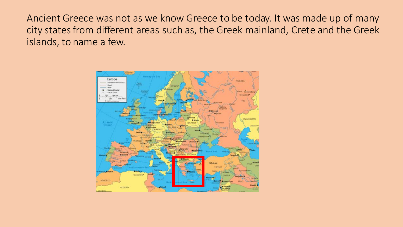Ancient Greece was not as we know Greece to be today. It was made up of many city states from different areas such as, the Greek mainland, Crete and the Greek islands, to name a few.

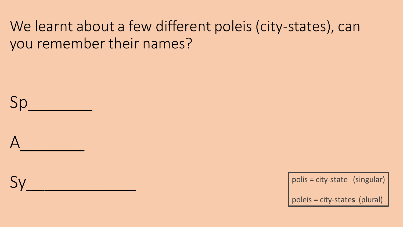#### We learnt about a few different poleis (city-states), can you remember their names?

Sp  $A$ 

 $Sy$ 

polis = city-state (singular)

poleis = city-state**s** (plural)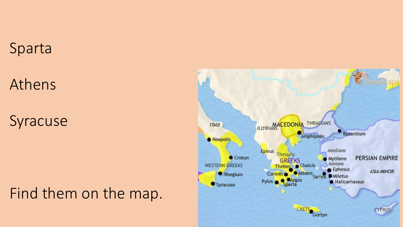#### Sparta

# Athens

# Syracuse

# Find them on the map.

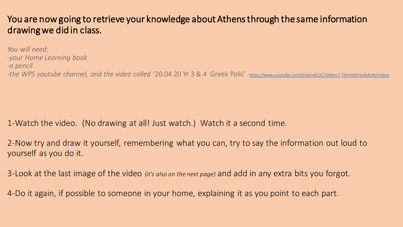#### You are now going to retrieve your knowledge about Athens through the same information drawing we did in class.

*You will need: -your Home Learning book -a pencil -the WPS youtube channel, and the video called '*20.04.20 Yr 3 & 4 Greek Polis' <https://www.youtube.com/channel/UC7XJ6Am7-Tdmnb6Vsn4vb9A/videos>

1-Watch the video. (No drawing at all! Just watch.) Watch it a second time.

2-Now try and draw it yourself, remembering what you can, try to say the information out loud to yourself as you do it.

3-Look at the last image of the video *(it's also on the next page)* and add in any extra bits you forgot.

4-Do it again, if possible to someone in your home, explaining it as you point to each part.